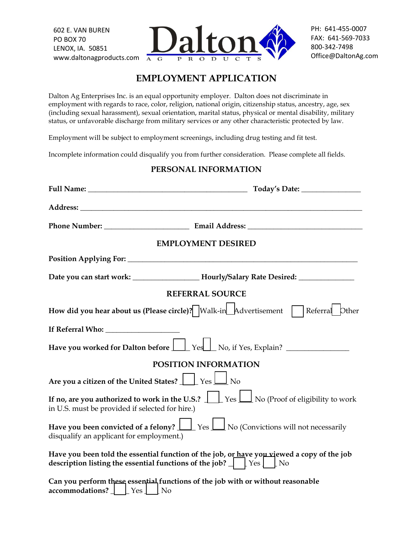602 E. VAN BUREN PO BOX 70 LENOX, IA. 50851 www.daltonagproducts.com



PH: 641-455-0007 FAX: 641-569-7033 800-342-7498 Office@DaltonAg.com

# **EMPLOYMENT APPLICATION**

Dalton Ag Enterprises Inc. is an equal opportunity employer. Dalton does not discriminate in employment with regards to race, color, religion, national origin, citizenship status, ancestry, age, sex (including sexual harassment), sexual orientation, marital status, physical or mental disability, military status, or unfavorable discharge from military services or any other characteristic protected by law.

Employment will be subject to employment screenings, including drug testing and fit test.

Incomplete information could disqualify you from further consideration. Please complete all fields.

#### **PERSONAL INFORMATION**

| <b>EMPLOYMENT DESIRED</b>                                                                                                                                                                                              |  |  |
|------------------------------------------------------------------------------------------------------------------------------------------------------------------------------------------------------------------------|--|--|
|                                                                                                                                                                                                                        |  |  |
| Date you can start work: _________________________Hourly/Salary Rate Desired: ______________________                                                                                                                   |  |  |
| <b>REFERRAL SOURCE</b>                                                                                                                                                                                                 |  |  |
| How did you hear about us (Please circle)? $\sqrt{\frac{W\lambda}{1-\lambda}}$ Malk-in $\lambda$ Advertisement $\sqrt{\frac{W\lambda}{1-\lambda}}$ Referral $\lambda$ Other                                            |  |  |
|                                                                                                                                                                                                                        |  |  |
| Have you worked for Dalton before Yes No, if Yes, Explain?                                                                                                                                                             |  |  |
| <b>POSITION INFORMATION</b>                                                                                                                                                                                            |  |  |
| Are you a citizen of the United States? $\boxed{\phantom{\cdot}}$ Yes $\boxed{\phantom{\cdot}}$ No                                                                                                                     |  |  |
| If no, are you authorized to work in the U.S.? $\boxed{\phantom{\text{a}}\phantom{\text{b}}\,}$ Yes $\boxed{\phantom{\text{b}}\,}$ No (Proof of eligibility to work<br>in U.S. must be provided if selected for hire.) |  |  |
| <b>Have you been convicted of a felony?</b> $\boxed{\phantom{\bigcup}}$ Yes $\boxed{\phantom{\bigcup}}$ No (Convictions will not necessarily<br>disqualify an applicant for employment.)                               |  |  |
| Have you been told the essential function of the job, or have you viewed a copy of the job<br>description listing the essential functions of the job? $\Box$ Yes $\Box$ No                                             |  |  |
| Can you perform these essential functions of the job with or without reasonable<br>$\alpha$ ccommodations? $\Box$ [Yes $\Box$ No                                                                                       |  |  |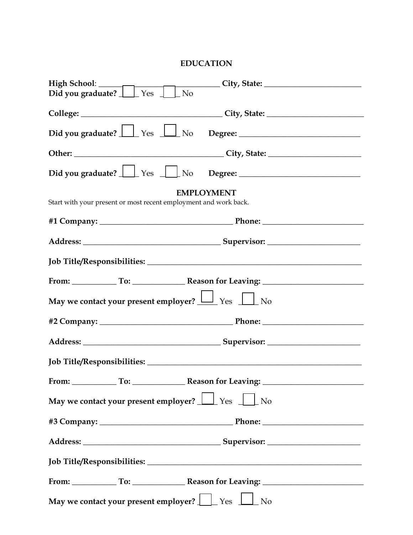## **EDUCATION**

|                                                                                                        | High School: City, State: City, State: City, State: City, State: City, State: City, State: City, State: City, State: City, State: City, State: City, State: City, State: City, State: City, State: City, State: City, State: C |  |
|--------------------------------------------------------------------------------------------------------|--------------------------------------------------------------------------------------------------------------------------------------------------------------------------------------------------------------------------------|--|
|                                                                                                        |                                                                                                                                                                                                                                |  |
|                                                                                                        |                                                                                                                                                                                                                                |  |
|                                                                                                        |                                                                                                                                                                                                                                |  |
|                                                                                                        |                                                                                                                                                                                                                                |  |
|                                                                                                        |                                                                                                                                                                                                                                |  |
|                                                                                                        | <b>EMPLOYMENT</b>                                                                                                                                                                                                              |  |
| Start with your present or most recent employment and work back.                                       |                                                                                                                                                                                                                                |  |
|                                                                                                        |                                                                                                                                                                                                                                |  |
|                                                                                                        |                                                                                                                                                                                                                                |  |
|                                                                                                        |                                                                                                                                                                                                                                |  |
|                                                                                                        | From: To: To: Reason for Leaving: 1990.                                                                                                                                                                                        |  |
| May we contact your present employer? $\boxed{\phantom{1}}$ Yes $\boxed{\phantom{1}}$ No               |                                                                                                                                                                                                                                |  |
|                                                                                                        |                                                                                                                                                                                                                                |  |
|                                                                                                        |                                                                                                                                                                                                                                |  |
|                                                                                                        |                                                                                                                                                                                                                                |  |
|                                                                                                        | From: To: To: Reason for Leaving: 1998                                                                                                                                                                                         |  |
| May we contact your present employer? $\boxed{\phantom{a}}$ Yes $\phantom{a}\phantom{a}\phantom{a}$ No |                                                                                                                                                                                                                                |  |
|                                                                                                        |                                                                                                                                                                                                                                |  |
|                                                                                                        |                                                                                                                                                                                                                                |  |
|                                                                                                        |                                                                                                                                                                                                                                |  |
|                                                                                                        |                                                                                                                                                                                                                                |  |
| May we contact your present employer? $\Box$ Yes $\Box$ No                                             |                                                                                                                                                                                                                                |  |